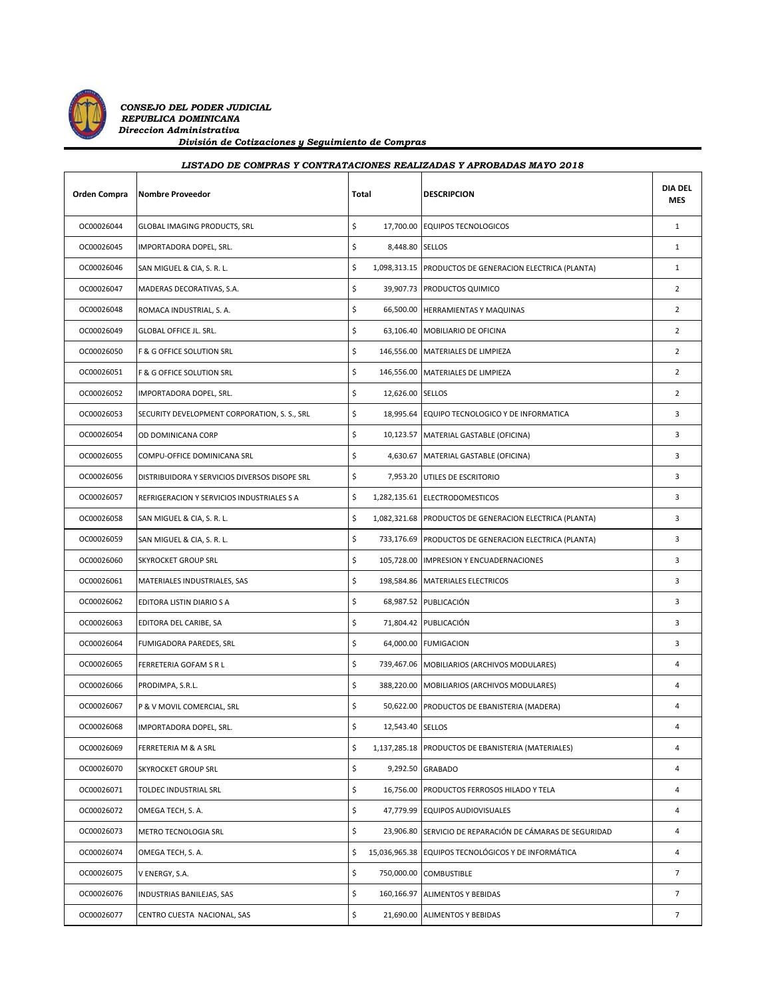

*CONSEJO DEL PODER JUDICIAL REPUBLICA DOMINICANA Direccion Administrativa División de Cotizaciones y Seguimiento de Compras*

| LISTADO DE COMPRAS Y CONTRATACIONES REALIZADAS Y APROBADAS MAYO 2018 |                                               |       |  |                                                          |                              |
|----------------------------------------------------------------------|-----------------------------------------------|-------|--|----------------------------------------------------------|------------------------------|
| Orden Compra                                                         | <b>Nombre Proveedor</b>                       | Total |  | <b>DESCRIPCION</b>                                       | <b>DIA DEL</b><br><b>MES</b> |
| OC00026044                                                           | GLOBAL IMAGING PRODUCTS, SRL                  | \$    |  | 17,700.00 EQUIPOS TECNOLOGICOS                           | $\mathbf{1}$                 |
| OC00026045                                                           | IMPORTADORA DOPEL, SRL.                       | \$    |  | 8,448.80 SELLOS                                          | $\mathbf{1}$                 |
| OC00026046                                                           | SAN MIGUEL & CIA, S. R. L.                    | \$    |  | 1,098,313.15 PRODUCTOS DE GENERACION ELECTRICA (PLANTA)  | $\mathbf{1}$                 |
| OC00026047                                                           | MADERAS DECORATIVAS, S.A.                     | \$    |  | 39,907.73 PRODUCTOS QUIMICO                              | $\overline{2}$               |
| OC00026048                                                           | ROMACA INDUSTRIAL, S. A.                      | \$    |  | 66,500.00 HERRAMIENTAS Y MAQUINAS                        | $\overline{2}$               |
| OC00026049                                                           | GLOBAL OFFICE JL. SRL.                        | \$    |  | 63,106.40 MOBILIARIO DE OFICINA                          | $\overline{2}$               |
| OC00026050                                                           | F & G OFFICE SOLUTION SRL                     | \$    |  | 146,556.00 MATERIALES DE LIMPIEZA                        | $\overline{2}$               |
| OC00026051                                                           | F & G OFFICE SOLUTION SRL                     | \$    |  | 146,556.00 MATERIALES DE LIMPIEZA                        | $\overline{2}$               |
| OC00026052                                                           | IMPORTADORA DOPEL, SRL.                       | \$    |  | 12,626.00 SELLOS                                         | $\overline{2}$               |
| OC00026053                                                           | SECURITY DEVELOPMENT CORPORATION, S. S., SRL  | \$    |  | 18,995.64 EQUIPO TECNOLOGICO Y DE INFORMATICA            | 3                            |
| OC00026054                                                           | OD DOMINICANA CORP                            | \$    |  | 10,123.57 MATERIAL GASTABLE (OFICINA)                    | 3                            |
| OC00026055                                                           | COMPU-OFFICE DOMINICANA SRL                   | \$    |  | 4,630.67 MATERIAL GASTABLE (OFICINA)                     | 3                            |
| OC00026056                                                           | DISTRIBUIDORA Y SERVICIOS DIVERSOS DISOPE SRL | \$    |  | 7,953.20 UTILES DE ESCRITORIO                            | 3                            |
| OC00026057                                                           | REFRIGERACION Y SERVICIOS INDUSTRIALES S A    | \$    |  | 1,282,135.61 ELECTRODOMESTICOS                           | 3                            |
| OC00026058                                                           | SAN MIGUEL & CIA, S. R. L.                    | \$    |  | 1,082,321.68 PRODUCTOS DE GENERACION ELECTRICA (PLANTA)  | 3                            |
| OC00026059                                                           | SAN MIGUEL & CIA, S. R. L.                    | \$    |  | 733,176.69 PRODUCTOS DE GENERACION ELECTRICA (PLANTA)    | 3                            |
| OC00026060                                                           | <b>SKYROCKET GROUP SRL</b>                    | \$    |  | 105,728.00 IMPRESION Y ENCUADERNACIONES                  | 3                            |
| OC00026061                                                           | MATERIALES INDUSTRIALES, SAS                  | \$    |  | 198,584.86 MATERIALES ELECTRICOS                         | 3                            |
| OC00026062                                                           | EDITORA LISTIN DIARIO S A                     | \$    |  | 68,987.52 PUBLICACIÓN                                    | 3                            |
| OC00026063                                                           | EDITORA DEL CARIBE, SA                        | \$    |  | 71,804.42 PUBLICACIÓN                                    | 3                            |
| OC00026064                                                           | FUMIGADORA PAREDES, SRL                       | \$    |  | 64,000.00 FUMIGACION                                     | 3                            |
| OC00026065                                                           | FERRETERIA GOFAM S R L                        | \$    |  | 739,467.06 MOBILIARIOS (ARCHIVOS MODULARES)              | 4                            |
| OC00026066                                                           | PRODIMPA, S.R.L.                              | \$    |  | 388,220.00 MOBILIARIOS (ARCHIVOS MODULARES)              | 4                            |
| OC00026067                                                           | P & V MOVIL COMERCIAL, SRL                    | \$    |  | 50,622.00 PRODUCTOS DE EBANISTERIA (MADERA)              | 4                            |
| OC00026068                                                           | IMPORTADORA DOPEL, SRL.                       | \$    |  | 12,543.40 SELLOS                                         | 4                            |
| OC00026069                                                           | FERRETERIA M & A SRL                          | \$    |  | 1,137,285.18 PRODUCTOS DE EBANISTERIA (MATERIALES)       | 4                            |
| OC00026070                                                           | SKYROCKET GROUP SRL                           | \$    |  | 9,292.50 GRABADO                                         | 4                            |
| OC00026071                                                           | TOLDEC INDUSTRIAL SRL                         | \$    |  | 16,756.00 PRODUCTOS FERROSOS HILADO Y TELA               | 4                            |
| OC00026072                                                           | OMEGA TECH, S. A.                             | \$    |  | 47,779.99 EQUIPOS AUDIOVISUALES                          | 4                            |
| OC00026073                                                           | METRO TECNOLOGIA SRL                          | \$    |  | 23,906.80 SERVICIO DE REPARACIÓN DE CÁMARAS DE SEGURIDAD | 4                            |
| OC00026074                                                           | OMEGA TECH, S. A.                             | \$    |  | 15,036,965.38 EQUIPOS TECNOLÓGICOS Y DE INFORMÁTICA      | 4                            |
| OC00026075                                                           | V ENERGY, S.A.                                | \$    |  | 750,000.00 COMBUSTIBLE                                   | $\overline{7}$               |

OC00026076 INDUSTRIAS BANILEJAS, SAS \$ 160,166.97 ALIMENTOS Y BEBIDAS \$ 160,166.97 OC00026077 CENTRO CUESTA NACIONAL, SAS  $\begin{vmatrix} 5 & 21,690.00 \end{vmatrix}$ ALIMENTOS Y BEBIDAS  $\begin{vmatrix} 7 & 21,690.00 \end{vmatrix}$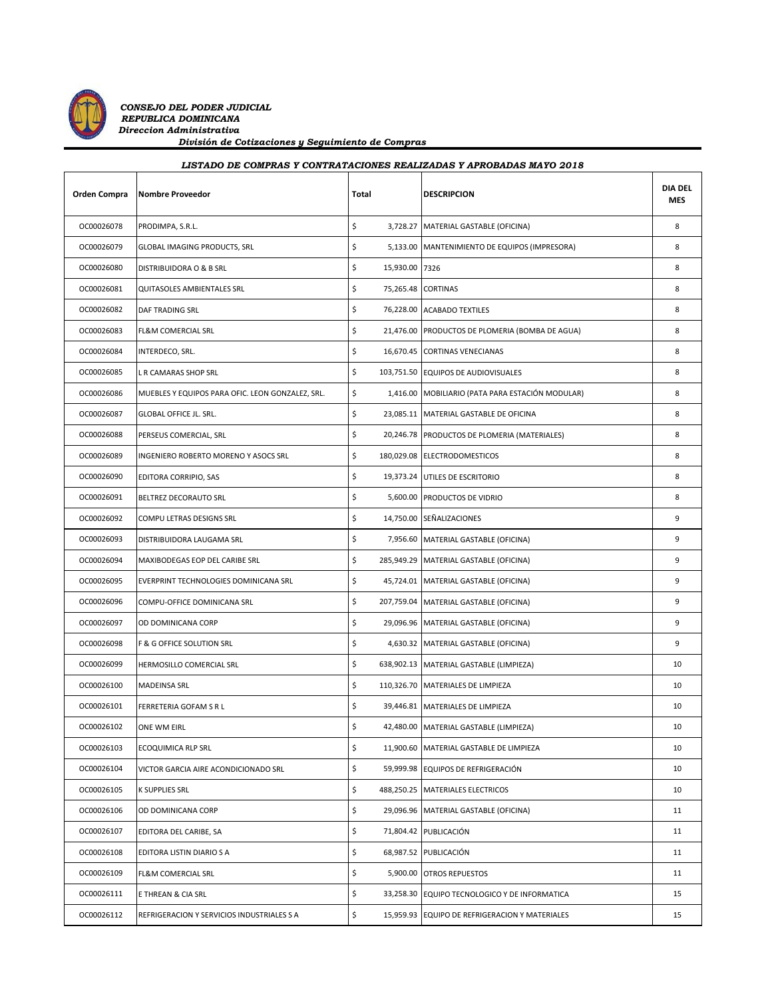

 *CONSEJO DEL PODER JUDICIAL REPUBLICA DOMINICANA Direccion Administrativa División de Cotizaciones y Seguimiento de Compras*

## **Orden Compra Nombre Proveedor Notal Total DESCRIPCION DIA DEL MES** *LISTADO DE COMPRAS Y CONTRATACIONES REALIZADAS Y APROBADAS MAYO 2018* OC00026078 PRODIMPA, S.R.L. \$ 3,728.27 MATERIAL GASTABLE (OFICINA) 8 OC00026079 GLOBAL IMAGING PRODUCTS, SRL S,133.00 MANTENIMIENTO DE EQUIPOS (IMPRESORA) 8 OC00026080 DISTRIBUIDORA O & B SRL 8 OC00026081 QUITASOLES AMBIENTALES SRL \$ 75,265.48 CORTINAS \$ OC00026082 DAF TRADING SRL \$ 76,228.00 ACABADO TEXTILES 8 OC00026083 FL&M COMERCIAL SRL \$ 21,476.00 PRODUCTOS DE PLOMERIA (BOMBA DE AGUA) 8 OC00026084 INTERDECO, SRL. \$ 16,670.45 CORTINAS VENECIANAS 8 OC00026085 L R CAMARAS SHOP SRL \$ 103,751.50 EQUIPOS DE AUDIOVISUALES 8 OC00026086 MUEBLES Y EQUIPOS PARA OFIC. LEON GONZALEZ, SRL. \$ 1,416.00 MOBILIARIO (PATA PARA ESTACIÓN MODULAR) 8

| OCOODZOOO1 | QUITASULES AIVIDIEIV FALES SNL                   | ڔ<br>73,203.40 | <b>CONTINAS</b>                                  | $\circ$ |
|------------|--------------------------------------------------|----------------|--------------------------------------------------|---------|
| OC00026082 | DAF TRADING SRL                                  | \$             | 76,228.00 ACABADO TEXTILES                       | 8       |
| OC00026083 | FL&M COMERCIAL SRL                               | \$             | 21,476.00 PRODUCTOS DE PLOMERIA (BOMBA DE AGUA)  | 8       |
| OC00026084 | INTERDECO, SRL.                                  | \$             | 16,670.45 CORTINAS VENECIANAS                    | 8       |
| OC00026085 | L R CAMARAS SHOP SRL                             | \$             | 103,751.50 EQUIPOS DE AUDIOVISUALES              | 8       |
| OC00026086 | MUEBLES Y EQUIPOS PARA OFIC. LEON GONZALEZ, SRL. | \$             | 1,416.00 MOBILIARIO (PATA PARA ESTACIÓN MODULAR) | 8       |
| OC00026087 | GLOBAL OFFICE JL. SRL.                           | \$             | 23,085.11 MATERIAL GASTABLE DE OFICINA           | 8       |
| OC00026088 | PERSEUS COMERCIAL, SRL                           | \$             | 20,246.78 PRODUCTOS DE PLOMERIA (MATERIALES)     | 8       |
| OC00026089 | INGENIERO ROBERTO MORENO Y ASOCS SRL             | \$             | 180,029.08 ELECTRODOMESTICOS                     | 8       |
| OC00026090 | EDITORA CORRIPIO, SAS                            | \$             | 19,373.24 UTILES DE ESCRITORIO                   | 8       |
| OC00026091 | BELTREZ DECORAUTO SRL                            | \$             | 5,600.00 PRODUCTOS DE VIDRIO                     | 8       |
| OC00026092 | COMPU LETRAS DESIGNS SRL                         | \$             | 14,750.00 SEÑALIZACIONES                         | 9       |
| OC00026093 | DISTRIBUIDORA LAUGAMA SRL                        | \$             | 7,956.60 MATERIAL GASTABLE (OFICINA)             | 9       |
| OC00026094 | MAXIBODEGAS EOP DEL CARIBE SRL                   | \$             | 285,949.29 MATERIAL GASTABLE (OFICINA)           | 9       |
| OC00026095 | EVERPRINT TECHNOLOGIES DOMINICANA SRL            | \$             | 45,724.01 MATERIAL GASTABLE (OFICINA)            | 9       |
| OC00026096 | COMPU-OFFICE DOMINICANA SRL                      | \$             | 207,759.04 MATERIAL GASTABLE (OFICINA)           | 9       |
| OC00026097 | OD DOMINICANA CORP                               | \$             | 29,096.96 MATERIAL GASTABLE (OFICINA)            | 9       |
| OC00026098 | F & G OFFICE SOLUTION SRL                        | \$             | 4,630.32 MATERIAL GASTABLE (OFICINA)             | 9       |
| OC00026099 | HERMOSILLO COMERCIAL SRL                         | \$             | 638,902.13 MATERIAL GASTABLE (LIMPIEZA)          | 10      |
| OC00026100 | MADEINSA SRL                                     | \$             | 110,326.70 MATERIALES DE LIMPIEZA                | 10      |
| OC00026101 | FERRETERIA GOFAM S R L                           | \$             | 39,446.81 MATERIALES DE LIMPIEZA                 | 10      |
| OC00026102 | ONE WM EIRL                                      | \$             | 42,480.00 MATERIAL GASTABLE (LIMPIEZA)           | 10      |
| OC00026103 | ECOQUIMICA RLP SRL                               | \$             | 11,900.60 MATERIAL GASTABLE DE LIMPIEZA          | 10      |
| OC00026104 | VICTOR GARCIA AIRE ACONDICIONADO SRL             | \$             | 59,999.98 EQUIPOS DE REFRIGERACIÓN               | 10      |
| OC00026105 | K SUPPLIES SRL                                   | \$             | 488,250.25 MATERIALES ELECTRICOS                 | 10      |
| OC00026106 | OD DOMINICANA CORP                               | \$             | 29,096.96 MATERIAL GASTABLE (OFICINA)            | 11      |
| OC00026107 | EDITORA DEL CARIBE, SA                           | \$             | 71,804.42 PUBLICACIÓN                            | 11      |
| OC00026108 | EDITORA LISTIN DIARIO S A                        | \$             | 68,987.52 PUBLICACIÓN                            | 11      |
| OC00026109 | FL&M COMERCIAL SRL                               | \$             | 5,900.00 OTROS REPUESTOS                         | 11      |
| OC00026111 | E THREAN & CIA SRL                               | \$             | 33,258.30 EQUIPO TECNOLOGICO Y DE INFORMATICA    | 15      |
| OC00026112 | REFRIGERACION Y SERVICIOS INDUSTRIALES S A       | \$             | 15,959.93 EQUIPO DE REFRIGERACION Y MATERIALES   | 15      |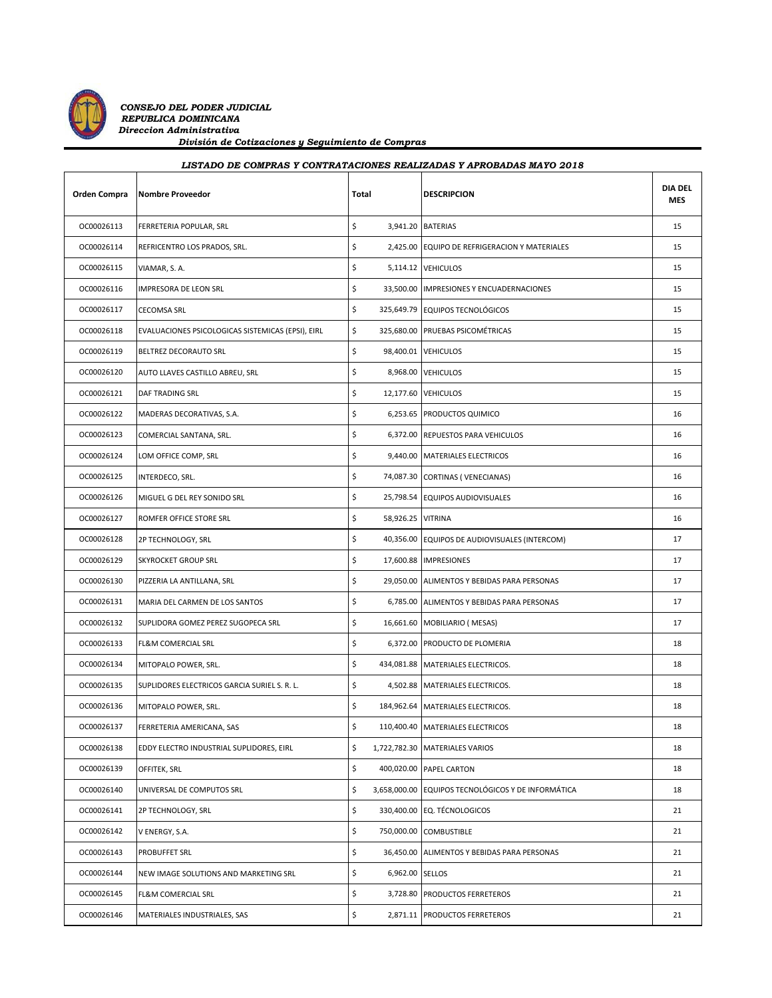

*CONSEJO DEL PODER JUDICIAL REPUBLICA DOMINICANA Direccion Administrativa División de Cotizaciones y Seguimiento de Compras*

| LISTADO DE COMPRAS Y CONTRATACIONES REALIZADAS Y APROBADAS MAYO 2018 |                                                   |                         |                                               |                       |  |
|----------------------------------------------------------------------|---------------------------------------------------|-------------------------|-----------------------------------------------|-----------------------|--|
| Orden Compra                                                         | Nombre Proveedor                                  | Total                   | <b>DESCRIPCION</b>                            | <b>DIA DEL</b><br>MES |  |
| OC00026113                                                           | FERRETERIA POPULAR, SRL                           | \$                      | 3,941.20 BATERIAS                             | 15                    |  |
| OC00026114                                                           | REFRICENTRO LOS PRADOS, SRL.                      | \$<br>2,425.00          | EQUIPO DE REFRIGERACION Y MATERIALES          | 15                    |  |
| OC00026115                                                           | VIAMAR, S.A.                                      | \$                      | 5,114.12 VEHICULOS                            | 15                    |  |
| OC00026116                                                           | IMPRESORA DE LEON SRL                             | \$                      | 33,500.00 IMPRESIONES Y ENCUADERNACIONES      | 15                    |  |
| OC00026117                                                           | <b>CECOMSA SRL</b>                                | \$                      | 325,649.79 EQUIPOS TECNOLÓGICOS               | 15                    |  |
| OC00026118                                                           | EVALUACIONES PSICOLOGICAS SISTEMICAS (EPSI), EIRL | \$                      | 325,680.00 PRUEBAS PSICOMÉTRICAS              | 15                    |  |
| OC00026119                                                           | BELTREZ DECORAUTO SRL                             | \$                      | 98,400.01 VEHICULOS                           | 15                    |  |
| OC00026120                                                           | AUTO LLAVES CASTILLO ABREU, SRL                   | \$                      | 8,968.00 VEHICULOS                            | 15                    |  |
| OC00026121                                                           | DAF TRADING SRL                                   | \$                      | 12,177.60 VEHICULOS                           | 15                    |  |
| OC00026122                                                           | MADERAS DECORATIVAS, S.A.                         | \$                      | 6,253.65 PRODUCTOS QUIMICO                    | 16                    |  |
| OC00026123                                                           | COMERCIAL SANTANA, SRL.                           | \$<br>6,372.00          | REPUESTOS PARA VEHICULOS                      | 16                    |  |
| OC00026124                                                           | LOM OFFICE COMP, SRL                              | \$<br>9,440.00          | MATERIALES ELECTRICOS                         | 16                    |  |
| OC00026125                                                           | INTERDECO, SRL.                                   | \$<br>74,087.30         | <b>CORTINAS (VENECIANAS)</b>                  | 16                    |  |
| OC00026126                                                           | MIGUEL G DEL REY SONIDO SRL                       | \$                      | 25,798.54 EQUIPOS AUDIOVISUALES               | 16                    |  |
| OC00026127                                                           | ROMFER OFFICE STORE SRL                           | \$<br>58,926.25 VITRINA |                                               | 16                    |  |
| OC00026128                                                           | 2P TECHNOLOGY, SRL                                | \$                      | 40,356.00 EQUIPOS DE AUDIOVISUALES (INTERCOM) | 17                    |  |
| OC00026129                                                           | <b>SKYROCKET GROUP SRL</b>                        | \$                      | 17,600.88 IMPRESIONES                         | 17                    |  |
| OC00026130                                                           | PIZZERIA LA ANTILLANA, SRL                        | \$                      | 29,050.00 ALIMENTOS Y BEBIDAS PARA PERSONAS   | 17                    |  |
| OC00026131                                                           | MARIA DEL CARMEN DE LOS SANTOS                    | \$                      | 6,785.00 ALIMENTOS Y BEBIDAS PARA PERSONAS    | 17                    |  |
| OC00026132                                                           | SUPLIDORA GOMEZ PEREZ SUGOPECA SRL                | \$                      | 16,661.60 MOBILIARIO (MESAS)                  | 17                    |  |
| OC00026133                                                           | FL&M COMERCIAL SRL                                | \$                      | 6,372.00 PRODUCTO DE PLOMERIA                 | 18                    |  |
| OC00026134                                                           | MITOPALO POWER, SRL.                              | \$                      | 434,081.88 MATERIALES ELECTRICOS.             | 18                    |  |
| OC00026135                                                           | SUPLIDORES ELECTRICOS GARCIA SURIEL S. R. L.      | \$                      | 4,502.88 MATERIALES ELECTRICOS.               | 18                    |  |
| OC00026136                                                           | MITOPALO POWER, SRL.                              | \$                      | 184,962.64 MATERIALES ELECTRICOS.             | 18                    |  |
| OC00026137                                                           | FERRETERIA AMERICANA, SAS                         | \$<br>110,400.40        | <b>MATERIALES ELECTRICOS</b>                  | 18                    |  |
| OC00026138                                                           | EDDY ELECTRO INDUSTRIAL SUPLIDORES, EIRL          | \$<br>1,722,782.30      | <b>MATERIALES VARIOS</b>                      | 18                    |  |
| OC00026139                                                           | OFFITEK, SRL                                      | \$<br>400,020.00        | PAPEL CARTON                                  | 18                    |  |
| OC00026140                                                           | UNIVERSAL DE COMPUTOS SRL                         | \$<br>3,658,000.00      | EQUIPOS TECNOLÓGICOS Y DE INFORMÁTICA         | 18                    |  |
| OC00026141                                                           | 2P TECHNOLOGY, SRL                                | \$<br>330,400.00        | EQ. TÉCNOLOGICOS                              | 21                    |  |
| OC00026142                                                           | V ENERGY, S.A.                                    | \$<br>750,000.00        | <b>COMBUSTIBLE</b>                            | 21                    |  |
| OC00026143                                                           | <b>PROBUFFET SRL</b>                              | \$<br>36,450.00         | ALIMENTOS Y BEBIDAS PARA PERSONAS             | 21                    |  |
| OC00026144                                                           | NEW IMAGE SOLUTIONS AND MARKETING SRL             | \$<br>6,962.00 SELLOS   |                                               | 21                    |  |

OC00026145 FL&M COMERCIAL SRL **but and the set of the state of the state of the state of the state of the state of the state of the state of the state of the state of the state of the state of the state of the state of the** OC00026146 MATERIALES INDUSTRIALES, SAS 3.871.11 PRODUCTOS FERRETEROS 21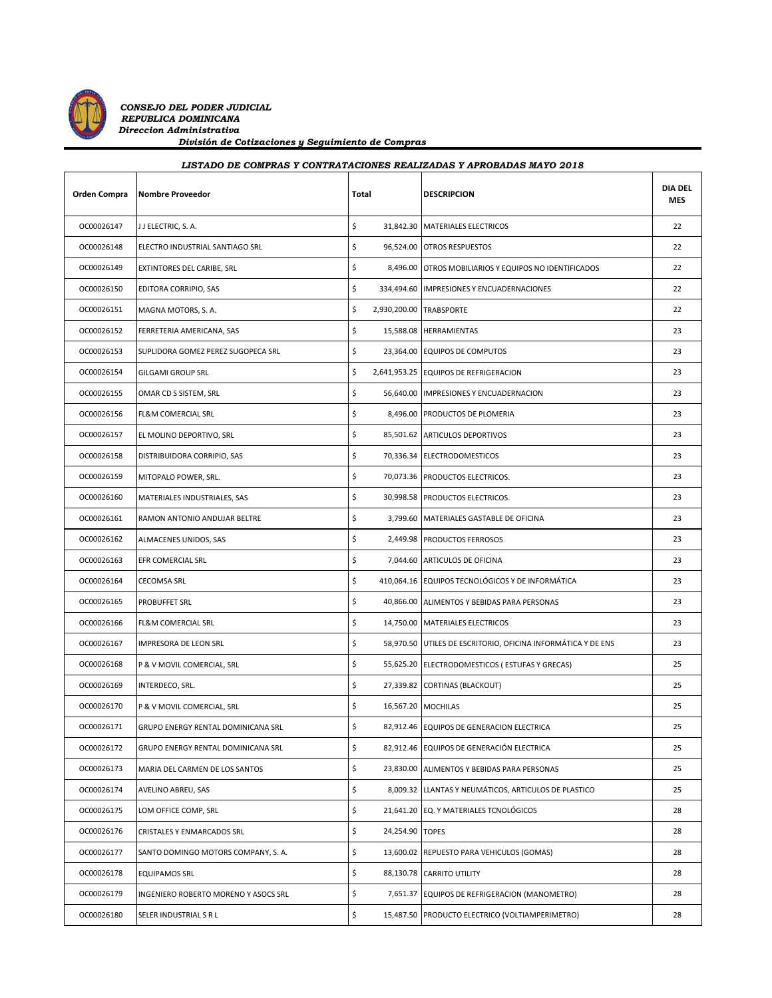

 *CONSEJO DEL PODER JUDICIAL REPUBLICA DOMINICANA Direccion Administrativa División de Cotizaciones y Seguimiento de Compras*

| LISTADO DE COMPRAS Y CONTRATACIONES REALIZADAS Y APROBADAS MAYO 2018 |                                      |                               |                                                              |                       |  |
|----------------------------------------------------------------------|--------------------------------------|-------------------------------|--------------------------------------------------------------|-----------------------|--|
| <b>Orden Compra</b>                                                  | <b>Nombre Proveedor</b>              | Total                         | <b>DESCRIPCION</b>                                           | <b>DIA DEL</b><br>MES |  |
| OC00026147                                                           | J J ELECTRIC, S. A.                  | \$                            | 31,842.30 MATERIALES ELECTRICOS                              | 22                    |  |
| OC00026148                                                           | ELECTRO INDUSTRIAL SANTIAGO SRL      | \$                            | 96,524.00 OTROS RESPUESTOS                                   | 22                    |  |
| OC00026149                                                           | EXTINTORES DEL CARIBE, SRL           | \$                            | 8,496.00 OTROS MOBILIARIOS Y EQUIPOS NO IDENTIFICADOS        | 22                    |  |
| OC00026150                                                           | EDITORA CORRIPIO, SAS                | \$                            | 334,494.60 IMPRESIONES Y ENCUADERNACIONES                    | 22                    |  |
| OC00026151                                                           | MAGNA MOTORS, S. A.                  | \$<br>2,930,200.00 TRABSPORTE |                                                              | 22                    |  |
| OC00026152                                                           | FERRETERIA AMERICANA, SAS            | \$                            | 15,588.08 HERRAMIENTAS                                       | 23                    |  |
| OC00026153                                                           | SUPLIDORA GOMEZ PEREZ SUGOPECA SRL   | \$                            | 23,364.00 EQUIPOS DE COMPUTOS                                | 23                    |  |
| OC00026154                                                           | GILGAMI GROUP SRL                    | \$                            | 2,641,953.25 EQUIPOS DE REFRIGERACION                        | 23                    |  |
| OC00026155                                                           | OMAR CD S SISTEM, SRL                | \$                            | 56,640.00 IMPRESIONES Y ENCUADERNACION                       | 23                    |  |
| OC00026156                                                           | FL&M COMERCIAL SRL                   | \$                            | 8,496.00 PRODUCTOS DE PLOMERIA                               | 23                    |  |
| OC00026157                                                           | EL MOLINO DEPORTIVO, SRL             | \$                            | 85,501.62 ARTICULOS DEPORTIVOS                               | 23                    |  |
| OC00026158                                                           | DISTRIBUIDORA CORRIPIO, SAS          | \$                            | 70,336.34 ELECTRODOMESTICOS                                  | 23                    |  |
| OC00026159                                                           | MITOPALO POWER, SRL.                 | \$                            | 70,073.36 PRODUCTOS ELECTRICOS.                              | 23                    |  |
| OC00026160                                                           | MATERIALES INDUSTRIALES, SAS         | \$                            | 30,998.58 PRODUCTOS ELECTRICOS.                              | 23                    |  |
| OC00026161                                                           | RAMON ANTONIO ANDUJAR BELTRE         | \$                            | 3,799.60 MATERIALES GASTABLE DE OFICINA                      | 23                    |  |
| OC00026162                                                           | ALMACENES UNIDOS, SAS                | \$                            | 2,449.98 PRODUCTOS FERROSOS                                  | 23                    |  |
| OC00026163                                                           | EFR COMERCIAL SRL                    | \$                            | 7,044.60 ARTICULOS DE OFICINA                                | 23                    |  |
| OC00026164                                                           | <b>CECOMSA SRL</b>                   | \$                            | 410,064.16 EQUIPOS TECNOLÓGICOS Y DE INFORMÁTICA             | 23                    |  |
| OC00026165                                                           | PROBUFFET SRL                        | \$                            | 40,866.00 ALIMENTOS Y BEBIDAS PARA PERSONAS                  | 23                    |  |
| OC00026166                                                           | FL&M COMERCIAL SRL                   | \$                            | 14,750.00 MATERIALES ELECTRICOS                              | 23                    |  |
| OC00026167                                                           | IMPRESORA DE LEON SRL                | \$                            | 58,970.50 UTILES DE ESCRITORIO, OFICINA INFORMÁTICA Y DE ENS | 23                    |  |
| OC00026168                                                           | P & V MOVIL COMERCIAL, SRL           | \$                            | 55,625.20 ELECTRODOMESTICOS (ESTUFAS Y GRECAS)               | 25                    |  |
| OC00026169                                                           | INTERDECO, SRL.                      | \$                            | 27,339.82 CORTINAS (BLACKOUT)                                | 25                    |  |
| OC00026170                                                           | P & V MOVIL COMERCIAL, SRL           | \$                            | 16,567.20 MOCHILAS                                           | 25                    |  |
| OC00026171                                                           | GRUPO ENERGY RENTAL DOMINICANA SRL   | \$                            | 82,912.46 EQUIPOS DE GENERACION ELECTRICA                    | 25                    |  |
| OC00026172                                                           | GRUPO ENERGY RENTAL DOMINICANA SRL   | \$                            | 82,912.46 EQUIPOS DE GENERACIÓN ELECTRICA                    | 25                    |  |
| OC00026173                                                           | MARIA DEL CARMEN DE LOS SANTOS       | \$                            | 23,830.00 ALIMENTOS Y BEBIDAS PARA PERSONAS                  | 25                    |  |
| OC00026174                                                           | AVELINO ABREU, SAS                   | \$                            | 8,009.32 LLANTAS Y NEUMÁTICOS, ARTICULOS DE PLASTICO         | 25                    |  |
| OC00026175                                                           | LOM OFFICE COMP, SRL                 | \$                            | 21,641.20 EQ. Y MATERIALES TCNOLÓGICOS                       | 28                    |  |
| OC00026176                                                           | CRISTALES Y ENMARCADOS SRL           | \$<br>24,254.90 TOPES         |                                                              | 28                    |  |
| OC00026177                                                           | SANTO DOMINGO MOTORS COMPANY, S. A.  | \$                            | 13,600.02 REPUESTO PARA VEHICULOS (GOMAS)                    | 28                    |  |
| OC00026178                                                           | <b>EQUIPAMOS SRL</b>                 | \$                            | 88,130.78 CARRITO UTILITY                                    | 28                    |  |
| OC00026179                                                           | INGENIERO ROBERTO MORENO Y ASOCS SRL | \$                            | 7,651.37 EQUIPOS DE REFRIGERACION (MANOMETRO)                | 28                    |  |

OC00026180 SELER INDUSTRIAL S R L **SELER INDUSTRIAL S R** L SAB7.50 PRODUCTO ELECTRICO (VOLTIAMPERIMETRO) 28